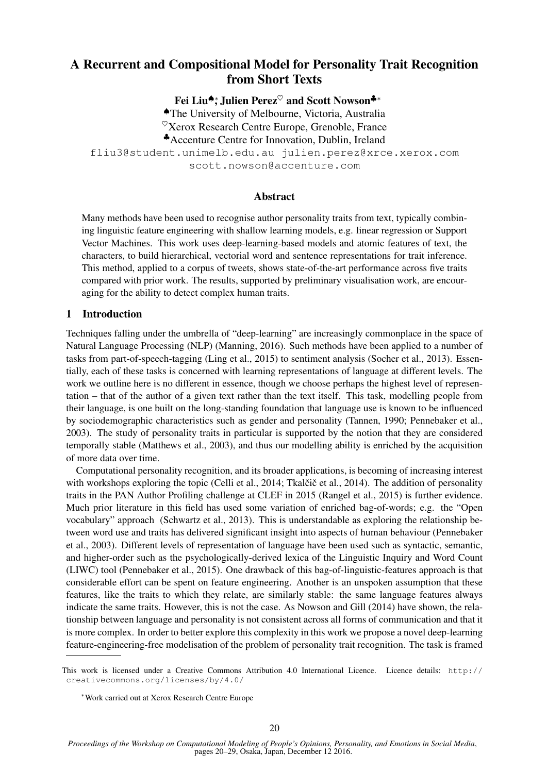# A Recurrent and Compositional Model for Personality Trait Recognition from Short Texts

Fei Liu<sup>◆</sup>\*, Julien Perez<sup>♡</sup> and Scott Nowson<sup>↓</sup>\*

♠The University of Melbourne, Victoria, Australia  $\mathcal{O}_{X}$ erox Research Centre Europe, Grenoble, France

♣Accenture Centre for Innovation, Dublin, Ireland

fliu3@student.unimelb.edu.au julien.perez@xrce.xerox.com

scott.nowson@accenture.com

## Abstract

Many methods have been used to recognise author personality traits from text, typically combining linguistic feature engineering with shallow learning models, e.g. linear regression or Support Vector Machines. This work uses deep-learning-based models and atomic features of text, the characters, to build hierarchical, vectorial word and sentence representations for trait inference. This method, applied to a corpus of tweets, shows state-of-the-art performance across five traits compared with prior work. The results, supported by preliminary visualisation work, are encouraging for the ability to detect complex human traits.

# 1 Introduction

Techniques falling under the umbrella of "deep-learning" are increasingly commonplace in the space of Natural Language Processing (NLP) (Manning, 2016). Such methods have been applied to a number of tasks from part-of-speech-tagging (Ling et al., 2015) to sentiment analysis (Socher et al., 2013). Essentially, each of these tasks is concerned with learning representations of language at different levels. The work we outline here is no different in essence, though we choose perhaps the highest level of representation – that of the author of a given text rather than the text itself. This task, modelling people from their language, is one built on the long-standing foundation that language use is known to be influenced by sociodemographic characteristics such as gender and personality (Tannen, 1990; Pennebaker et al., 2003). The study of personality traits in particular is supported by the notion that they are considered temporally stable (Matthews et al., 2003), and thus our modelling ability is enriched by the acquisition of more data over time.

Computational personality recognition, and its broader applications, is becoming of increasing interest with workshops exploring the topic (Celli et al., 2014; Tkalčič et al., 2014). The addition of personality traits in the PAN Author Profiling challenge at CLEF in 2015 (Rangel et al., 2015) is further evidence. Much prior literature in this field has used some variation of enriched bag-of-words; e.g. the "Open vocabulary" approach (Schwartz et al., 2013). This is understandable as exploring the relationship between word use and traits has delivered significant insight into aspects of human behaviour (Pennebaker et al., 2003). Different levels of representation of language have been used such as syntactic, semantic, and higher-order such as the psychologically-derived lexica of the Linguistic Inquiry and Word Count (LIWC) tool (Pennebaker et al., 2015). One drawback of this bag-of-linguistic-features approach is that considerable effort can be spent on feature engineering. Another is an unspoken assumption that these features, like the traits to which they relate, are similarly stable: the same language features always indicate the same traits. However, this is not the case. As Nowson and Gill (2014) have shown, the relationship between language and personality is not consistent across all forms of communication and that it is more complex. In order to better explore this complexity in this work we propose a novel deep-learning feature-engineering-free modelisation of the problem of personality trait recognition. The task is framed

This work is licensed under a Creative Commons Attribution 4.0 International Licence. Licence details: http:// creativecommons.org/licenses/by/4.0/

<sup>∗</sup>Work carried out at Xerox Research Centre Europe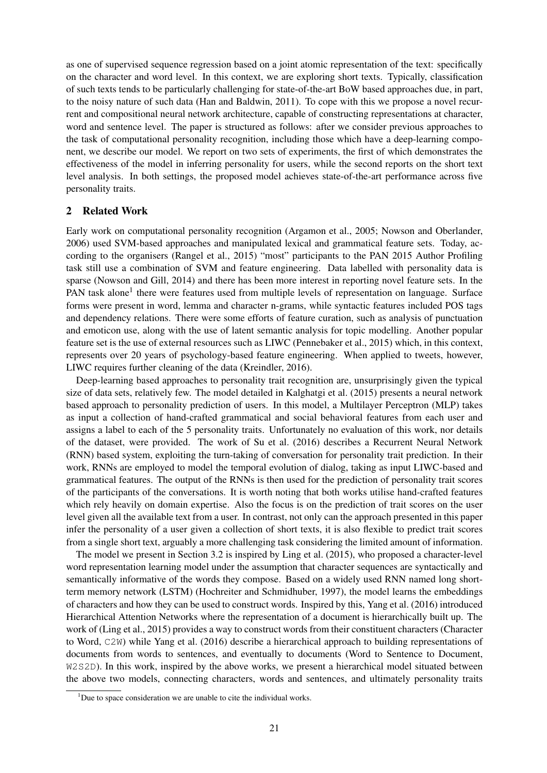as one of supervised sequence regression based on a joint atomic representation of the text: specifically on the character and word level. In this context, we are exploring short texts. Typically, classification of such texts tends to be particularly challenging for state-of-the-art BoW based approaches due, in part, to the noisy nature of such data (Han and Baldwin, 2011). To cope with this we propose a novel recurrent and compositional neural network architecture, capable of constructing representations at character, word and sentence level. The paper is structured as follows: after we consider previous approaches to the task of computational personality recognition, including those which have a deep-learning component, we describe our model. We report on two sets of experiments, the first of which demonstrates the effectiveness of the model in inferring personality for users, while the second reports on the short text level analysis. In both settings, the proposed model achieves state-of-the-art performance across five personality traits.

## 2 Related Work

Early work on computational personality recognition (Argamon et al., 2005; Nowson and Oberlander, 2006) used SVM-based approaches and manipulated lexical and grammatical feature sets. Today, according to the organisers (Rangel et al., 2015) "most" participants to the PAN 2015 Author Profiling task still use a combination of SVM and feature engineering. Data labelled with personality data is sparse (Nowson and Gill, 2014) and there has been more interest in reporting novel feature sets. In the PAN task alone<sup>1</sup> there were features used from multiple levels of representation on language. Surface forms were present in word, lemma and character n-grams, while syntactic features included POS tags and dependency relations. There were some efforts of feature curation, such as analysis of punctuation and emoticon use, along with the use of latent semantic analysis for topic modelling. Another popular feature set is the use of external resources such as LIWC (Pennebaker et al., 2015) which, in this context, represents over 20 years of psychology-based feature engineering. When applied to tweets, however, LIWC requires further cleaning of the data (Kreindler, 2016).

Deep-learning based approaches to personality trait recognition are, unsurprisingly given the typical size of data sets, relatively few. The model detailed in Kalghatgi et al. (2015) presents a neural network based approach to personality prediction of users. In this model, a Multilayer Perceptron (MLP) takes as input a collection of hand-crafted grammatical and social behavioral features from each user and assigns a label to each of the 5 personality traits. Unfortunately no evaluation of this work, nor details of the dataset, were provided. The work of Su et al. (2016) describes a Recurrent Neural Network (RNN) based system, exploiting the turn-taking of conversation for personality trait prediction. In their work, RNNs are employed to model the temporal evolution of dialog, taking as input LIWC-based and grammatical features. The output of the RNNs is then used for the prediction of personality trait scores of the participants of the conversations. It is worth noting that both works utilise hand-crafted features which rely heavily on domain expertise. Also the focus is on the prediction of trait scores on the user level given all the available text from a user. In contrast, not only can the approach presented in this paper infer the personality of a user given a collection of short texts, it is also flexible to predict trait scores from a single short text, arguably a more challenging task considering the limited amount of information.

The model we present in Section 3.2 is inspired by Ling et al. (2015), who proposed a character-level word representation learning model under the assumption that character sequences are syntactically and semantically informative of the words they compose. Based on a widely used RNN named long shortterm memory network (LSTM) (Hochreiter and Schmidhuber, 1997), the model learns the embeddings of characters and how they can be used to construct words. Inspired by this, Yang et al. (2016) introduced Hierarchical Attention Networks where the representation of a document is hierarchically built up. The work of (Ling et al., 2015) provides a way to construct words from their constituent characters (Character to Word, C2W) while Yang et al. (2016) describe a hierarchical approach to building representations of documents from words to sentences, and eventually to documents (Word to Sentence to Document, W2S2D). In this work, inspired by the above works, we present a hierarchical model situated between the above two models, connecting characters, words and sentences, and ultimately personality traits

 $1$ Due to space consideration we are unable to cite the individual works.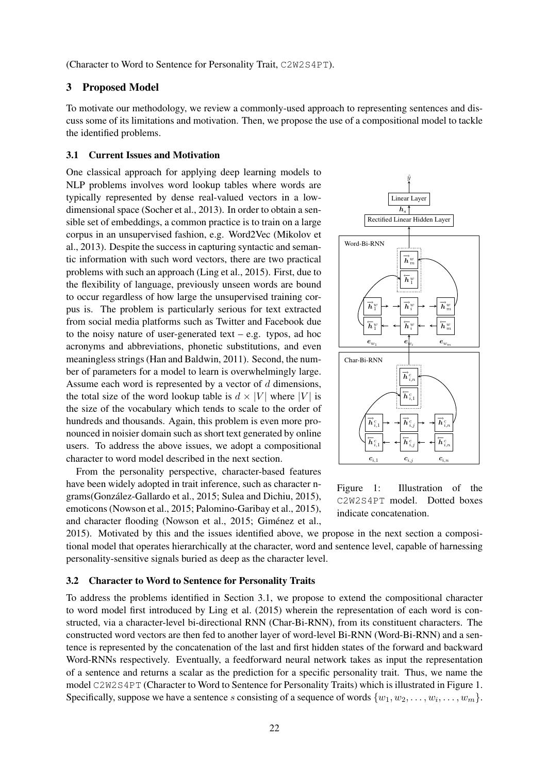(Character to Word to Sentence for Personality Trait, C2W2S4PT).

# 3 Proposed Model

To motivate our methodology, we review a commonly-used approach to representing sentences and discuss some of its limitations and motivation. Then, we propose the use of a compositional model to tackle the identified problems.

## 3.1 Current Issues and Motivation

One classical approach for applying deep learning models to NLP problems involves word lookup tables where words are typically represented by dense real-valued vectors in a lowdimensional space (Socher et al., 2013). In order to obtain a sensible set of embeddings, a common practice is to train on a large corpus in an unsupervised fashion, e.g. Word2Vec (Mikolov et al., 2013). Despite the success in capturing syntactic and semantic information with such word vectors, there are two practical problems with such an approach (Ling et al., 2015). First, due to the flexibility of language, previously unseen words are bound to occur regardless of how large the unsupervised training corpus is. The problem is particularly serious for text extracted from social media platforms such as Twitter and Facebook due to the noisy nature of user-generated text – e.g. typos, ad hoc acronyms and abbreviations, phonetic substitutions, and even meaningless strings (Han and Baldwin, 2011). Second, the number of parameters for a model to learn is overwhelmingly large. Assume each word is represented by a vector of d dimensions, the total size of the word lookup table is  $d \times |V|$  where |V| is the size of the vocabulary which tends to scale to the order of hundreds and thousands. Again, this problem is even more pronounced in noisier domain such as short text generated by online users. To address the above issues, we adopt a compositional character to word model described in the next section.

From the personality perspective, character-based features have been widely adopted in trait inference, such as character ngrams(Gonzalez-Gallardo et al., 2015; Sulea and Dichiu, 2015), ´ emoticons (Nowson et al., 2015; Palomino-Garibay et al., 2015), and character flooding (Nowson et al., 2015; Giménez et al.,



Figure 1: Illustration of the C2W2S4PT model. Dotted boxes indicate concatenation.

2015). Motivated by this and the issues identified above, we propose in the next section a compositional model that operates hierarchically at the character, word and sentence level, capable of harnessing personality-sensitive signals buried as deep as the character level.

# 3.2 Character to Word to Sentence for Personality Traits

To address the problems identified in Section 3.1, we propose to extend the compositional character to word model first introduced by Ling et al. (2015) wherein the representation of each word is constructed, via a character-level bi-directional RNN (Char-Bi-RNN), from its constituent characters. The constructed word vectors are then fed to another layer of word-level Bi-RNN (Word-Bi-RNN) and a sentence is represented by the concatenation of the last and first hidden states of the forward and backward Word-RNNs respectively. Eventually, a feedforward neural network takes as input the representation of a sentence and returns a scalar as the prediction for a specific personality trait. Thus, we name the model C2W2S4PT (Character to Word to Sentence for Personality Traits) which is illustrated in Figure 1. Specifically, suppose we have a sentence s consisting of a sequence of words  $\{w_1, w_2, \ldots, w_i, \ldots, w_m\}$ .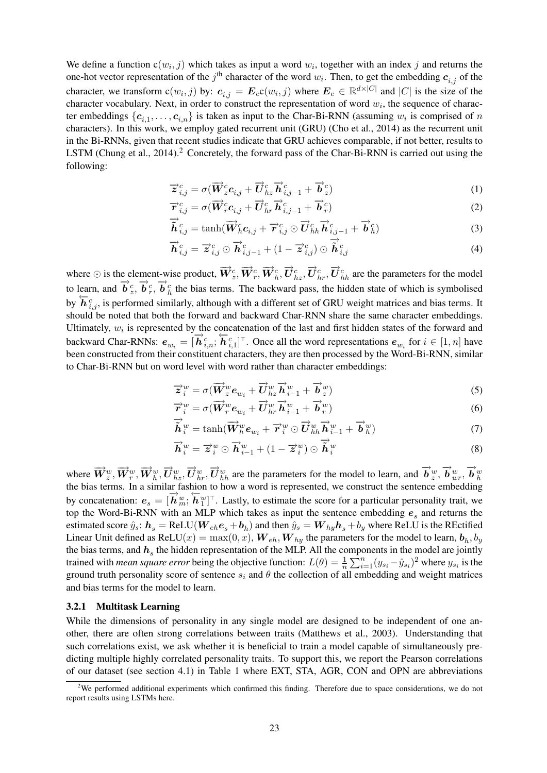We define a function  $c(w_i, j)$  which takes as input a word  $w_i$ , together with an index j and returns the one-hot vector representation of the  $j<sup>th</sup>$  character of the word  $w<sub>i</sub>$ . Then, to get the embedding  $c<sub>i,j</sub>$  of the character, we transform  $c(w_i, j)$  by:  $c_{i,j} = E_c c(w_i, j)$  where  $E_c \in \mathbb{R}^{d \times |C|}$  and  $|C|$  is the size of the character vocabulary. Next, in order to construct the representation of word  $w_i$ , the sequence of character embeddings  $\{c_{i,1}, \ldots, c_{i,n}\}\$ is taken as input to the Char-Bi-RNN (assuming  $w_i$  is comprised of n characters). In this work, we employ gated recurrent unit (GRU) (Cho et al., 2014) as the recurrent unit in the Bi-RNNs, given that recent studies indicate that GRU achieves comparable, if not better, results to LSTM (Chung et al., 2014).<sup>2</sup> Concretely, the forward pass of the Char-Bi-RNN is carried out using the following:

$$
\overrightarrow{z}_{i,j}^{c} = \sigma(\overrightarrow{W}_{z}^{c}c_{i,j} + \overrightarrow{U}_{hz}^{c} \overrightarrow{h}_{i,j-1}^{c} + \overrightarrow{b}_{z}^{c})
$$
\n(1)

$$
\overrightarrow{r}_{i,j}^{c} = \sigma(\overrightarrow{W}_{r}^{c}\mathbf{c}_{i,j} + \overrightarrow{U}_{hr}^{c}\overrightarrow{h}_{i,j-1}^{c} + \overrightarrow{b}_{r}^{c})
$$
\n
$$
\overrightarrow{r}_{i,j}^{c} = \sigma(\overrightarrow{W}_{r}^{c}\mathbf{c}_{i,j} + \overrightarrow{V}_{r}^{c}\mathbf{c}_{i,j-1} + \overrightarrow{b}_{r}^{c})
$$
\n(2)

$$
\overrightarrow{\hat{h}}_{i,j}^c = \tanh(\overrightarrow{\mathbf{W}}_h^c \mathbf{c}_{i,j} + \overrightarrow{\mathbf{r}}_{i,j}^c \odot \overrightarrow{\mathbf{U}}_{hh}^c \overrightarrow{\mathbf{h}}_{i,j-1}^c + \overrightarrow{\mathbf{b}}_h^c)
$$
(3)

$$
\overrightarrow{\boldsymbol{h}}_{i,j}^{c} = \overrightarrow{\boldsymbol{z}}_{i,j}^{c} \odot \overrightarrow{\boldsymbol{h}}_{i,j-1}^{c} + (1 - \overrightarrow{\boldsymbol{z}}_{i,j}^{c}) \odot \overrightarrow{\boldsymbol{h}}_{i,j}^{c}
$$
\n(4)

where  $\odot$  is the element-wise product,  $\vec{W}_{z}^{c}, \vec{W}_{r}^{c}, \vec{W}_{h}^{c}, \vec{U}_{hz}^{c}, \vec{U}_{hz}^{c}, \vec{U}_{hh}^{c}$  are the parameters for the model to learn, and  $\vec{b}_z^c$ ,  $\vec{b}_r^c$ ,  $\vec{b}_h^c$  the bias terms. The backward pass, the hidden state of which is symbolised by  $\overleftarrow{h}_{i,j}^c$ , is performed similarly, although with a different set of GRU weight matrices and bias terms. It should be noted that both the forward and backward Char-RNN share the same character embeddings. Ultimately,  $w_i$  is represented by the concatenation of the last and first hidden states of the forward and backward Char-RNNs:  $e_{w_i} = [\vec{h}_{i,n}^c; \vec{h}_{i,1}^c]^T$ . Once all the word representations  $e_{w_i}$  for  $i \in [1, n]$  have been constructed from their constituent characters, they are then processed by the Word-Bi-RNN, similar to Char-Bi-RNN but on word level with word rather than character embeddings:

$$
\overrightarrow{z}_{i}^{w} = \sigma(\overrightarrow{W}_{z}^{w}e_{w_{i}} + \overrightarrow{U}_{hz}^{w}\overrightarrow{h}_{i-1}^{w} + \overrightarrow{b}_{z}^{w})
$$
\n
$$
\overrightarrow{z}_{i}^{w} = \sigma(\overrightarrow{W}_{z}^{w}e_{w_{i}} + \overrightarrow{U}_{hz}^{w}\overrightarrow{h}_{i-1}^{w} + \overrightarrow{b}_{z}^{w})
$$
\n(5)

$$
\overrightarrow{r}_{i}^{w} = \sigma(\overrightarrow{W}_{r}^{w}e_{w_{i}} + \overrightarrow{U}_{hr}^{w}\overrightarrow{h}_{i-1}^{w} + \overrightarrow{b}_{r}^{w})
$$
\n(6)

$$
\overrightarrow{\tilde{\boldsymbol{h}}}_{i}^{w} = \tanh(\overrightarrow{\boldsymbol{W}}_{h}^{w}\boldsymbol{e}_{w_{i}} + \overrightarrow{\boldsymbol{r}}_{i}^{w} \odot \overrightarrow{\boldsymbol{U}}_{hh}^{w}\overrightarrow{\boldsymbol{h}}_{i-1}^{w} + \overrightarrow{\boldsymbol{b}}_{h}^{w})
$$
\n
$$
\overrightarrow{\boldsymbol{\cdot}}_{w} \rightarrow \overrightarrow{\boldsymbol{\cdot}}_{w} \rightarrow \overrightarrow{\boldsymbol{\cdot}}_{w} \rightarrow \overrightarrow{\boldsymbol{\cdot}}_{w} \rightarrow \overrightarrow{\boldsymbol{\cdot}}_{w} \rightarrow \overrightarrow{\boldsymbol{\cdot}}_{w} \rightarrow \overrightarrow{\boldsymbol{\cdot}}_{w} \rightarrow \overrightarrow{\boldsymbol{\cdot}}_{w} \rightarrow \overrightarrow{\boldsymbol{\cdot}}_{w} \rightarrow \overrightarrow{\boldsymbol{\cdot}}_{w} \rightarrow \overrightarrow{\boldsymbol{\cdot}}_{w} \rightarrow \overrightarrow{\boldsymbol{\cdot}}_{w} \rightarrow \overrightarrow{\boldsymbol{\cdot}}_{w} \rightarrow \overrightarrow{\boldsymbol{\cdot}}_{w} \rightarrow \overrightarrow{\boldsymbol{\cdot}}_{w} \rightarrow \overrightarrow{\boldsymbol{\cdot}}_{w} \rightarrow \overrightarrow{\boldsymbol{\cdot}}_{w} \rightarrow \overrightarrow{\boldsymbol{\cdot}}_{w} \rightarrow \overrightarrow{\boldsymbol{\cdot}}_{w} \rightarrow \overrightarrow{\boldsymbol{\cdot}}_{w} \rightarrow \overrightarrow{\boldsymbol{\cdot}}_{w} \rightarrow \overrightarrow{\boldsymbol{\cdot}}_{w} \rightarrow \overrightarrow{\boldsymbol{\cdot}}_{w} \rightarrow \overrightarrow{\boldsymbol{\cdot}}_{w} \rightarrow \overrightarrow{\boldsymbol{\cdot}}_{w} \rightarrow \overrightarrow{\boldsymbol{\cdot}}_{w} \rightarrow \overrightarrow{\boldsymbol{\cdot}}_{w} \rightarrow \overrightarrow{\boldsymbol{\cdot}}_{w} \rightarrow \overrightarrow{\boldsymbol{\cdot}}_{w} \rightarrow \overrightarrow{\boldsymbol{\cdot}}_{w} \rightarrow \overrightarrow{\boldsymbol{\cdot}}_{w} \rightarrow \overrightarrow{\boldsymbol{\cdot}}_{w} \rightarrow \overrightarrow{\boldsymbol{\cdot}}_{w} \rightarrow \overrightarrow{\boldsymbol{\cdot}}_{w} \rightarrow \overrightarrow{\boldsymbol{\cdot}}_{w} \rightarrow \overrightarrow{\boldsymbol{\cdot}}_{w} \rightarrow \overrightarrow{\boldsymbol{\cdot}}_{w} \rightarrow \overrightarrow{\boldsymbol{\cdot}}_{w} \rightarrow \overrightarrow{\boldsymbol{\cdot}}_{w} \rightarrow \overrightarrow{\boldsymbol{\cdot}}_{w} \rightarrow \overrightarrow{\boldsymbol{\cdot}}_{w} \rightarrow \overrightarrow{\boldsymbol{\cdot}}_{w} \rightarrow \overrightarrow{\boldsymbol{\cdot}}_{w} \rightarrow \overrightarrow{\boldsymbol{\cdot}}_{w} \rightarrow \overrightarrow{\boldsymbol{\cdot}}_{w} \rightarrow \overrightarrow{\boldsymbol{\cdot}}
$$

$$
\overrightarrow{\boldsymbol{h}}_{i}^{w} = \overrightarrow{\boldsymbol{z}}_{i}^{w} \odot \overrightarrow{\boldsymbol{h}}_{i-1}^{w} + (1 - \overrightarrow{\boldsymbol{z}}_{i}^{w}) \odot \overrightarrow{\boldsymbol{h}}_{i}^{w}
$$
\n(8)

where  $\overrightarrow{W}_{z}^{w}, \overrightarrow{W}_{r}^{w}, \overrightarrow{W}_{h}^{w}, \overrightarrow{U}_{hz}^{w}, \overrightarrow{U}_{hh}^{w}, \overrightarrow{U}_{hh}^{w}$  are the parameters for the model to learn, and  $\overrightarrow{b}_{z}^{w}, \overrightarrow{b}_{wr}^{w}, \overrightarrow{b}_{h}^{w}$ <br>the bias terms. In a similar fashion to how a word is represent by concatenation:  $e_s = [\vec{h}_w^w; \vec{h}_1^w]^\top$ . Lastly, to estimate the score for a particular personality trait, we top the Word-Bi-RNN with an MLP which takes as input the sentence embedding  $e_s$  and returns the estimated score  $\hat{y}_s$ :  $h_s = \text{ReLU}(W_{eh}e_s + b_h)$  and then  $\hat{y}_s = W_{hy}h_s + b_y$  where ReLU is the REctified Linear Unit defined as ReLU $(x) = \max(0, x)$ ,  $\bm{W}_{eh}, \bm{W}_{hy}$  the parameters for the model to learn,  $\bm{b}_h, b_y$ the bias terms, and  $h_s$  the hidden representation of the MLP. All the components in the model are jointly trained with *mean square error* being the objective function:  $L(\theta) = \frac{1}{n} \sum_{i=1}^{n} (y_{s_i} - \hat{y}_{s_i})^2$  where  $y_{s_i}$  is the ground truth personality score of sentence  $s_i$  and  $\theta$  the collection of all embedding and weight matrices and bias terms for the model to learn.

## 3.2.1 Multitask Learning

While the dimensions of personality in any single model are designed to be independent of one another, there are often strong correlations between traits (Matthews et al., 2003). Understanding that such correlations exist, we ask whether it is beneficial to train a model capable of simultaneously predicting multiple highly correlated personality traits. To support this, we report the Pearson correlations of our dataset (see section 4.1) in Table 1 where EXT, STA, AGR, CON and OPN are abbreviations

<sup>&</sup>lt;sup>2</sup>We performed additional experiments which confirmed this finding. Therefore due to space considerations, we do not report results using LSTMs here.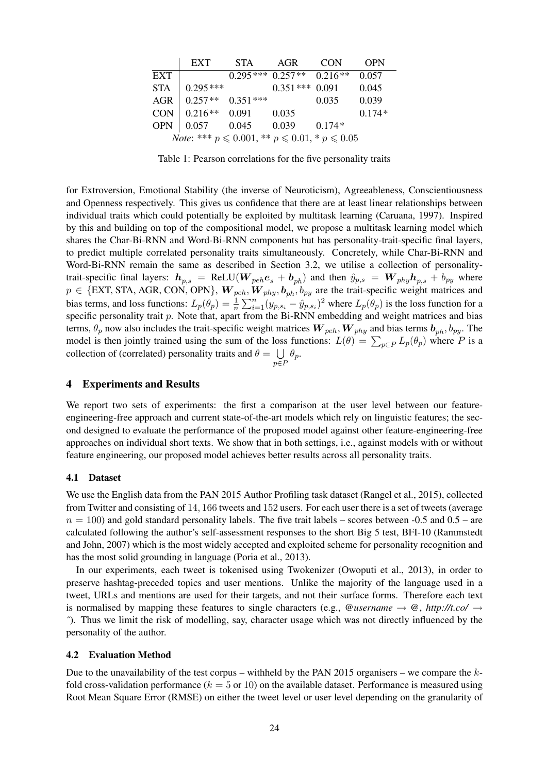|                                                                    | <b>EXT</b> | <b>STA</b> | AGR                            | <b>CON</b> | <b>OPN</b> |  |  |
|--------------------------------------------------------------------|------------|------------|--------------------------------|------------|------------|--|--|
| <b>EXT</b>                                                         |            |            | $0.295***$ $0.257**$ $0.216**$ |            | 0.057      |  |  |
| <b>STA</b>                                                         | $0.295***$ |            | $0.351***$                     | 0.091      | 0.045      |  |  |
| <b>AGR</b>                                                         | $0.257**$  | $0.351***$ |                                | 0.035      | 0.039      |  |  |
| <b>CON</b>                                                         | $0.216**$  | 0.091      | 0.035                          |            | $0.174*$   |  |  |
| <b>OPN</b>                                                         | 0.057      | 0.045      | 0.039                          | $0.174*$   |            |  |  |
| <i>Note</i> : *** $p \le 0.001$ , ** $p \le 0.01$ , * $p \le 0.05$ |            |            |                                |            |            |  |  |

Table 1: Pearson correlations for the five personality traits

for Extroversion, Emotional Stability (the inverse of Neuroticism), Agreeableness, Conscientiousness and Openness respectively. This gives us confidence that there are at least linear relationships between individual traits which could potentially be exploited by multitask learning (Caruana, 1997). Inspired by this and building on top of the compositional model, we propose a multitask learning model which shares the Char-Bi-RNN and Word-Bi-RNN components but has personality-trait-specific final layers, to predict multiple correlated personality traits simultaneously. Concretely, while Char-Bi-RNN and Word-Bi-RNN remain the same as described in Section 3.2, we utilise a collection of personalitytrait-specific final layers:  $h_{p,s}$  = ReLU( $W_{peh}e_s + b_{ph}$ ) and then  $\hat{y}_{p,s}$  =  $W_{phy}h_{p,s} + b_{py}$  where  $p \in \{\text{EXT}, \text{STA}, \text{AGR}, \text{CON}, \text{OPN}\},$   $W_{peh}, W_{phy}, b_{ph}, b_{py}$  are the trait-specific weight matrices and bias terms, and loss functions:  $L_p(\theta_p) = \frac{1}{n} \sum_{i=1}^n (y_{p,s_i} - \hat{y}_{p,s_i})^2$  where  $L_p(\theta_p)$  is the loss function for a specific personality trait p. Note that, apart from the Bi-RNN embedding and weight matrices and bias terms,  $\theta_p$  now also includes the trait-specific weight matrices  $W_{peh}$ ,  $W_{phy}$  and bias terms  $b_{ph}$ ,  $b_{py}$ . The model is then jointly trained using the sum of the loss functions:  $L(\theta) = \sum_{p \in P} L_p(\theta_p)$  where P is a collection of (correlated) personality traits and  $\theta = \bigcup \theta_p$ . p∈P

#### 4 Experiments and Results

We report two sets of experiments: the first a comparison at the user level between our featureengineering-free approach and current state-of-the-art models which rely on linguistic features; the second designed to evaluate the performance of the proposed model against other feature-engineering-free approaches on individual short texts. We show that in both settings, i.e., against models with or without feature engineering, our proposed model achieves better results across all personality traits.

#### 4.1 Dataset

We use the English data from the PAN 2015 Author Profiling task dataset (Rangel et al., 2015), collected from Twitter and consisting of 14, 166 tweets and 152 users. For each user there is a set of tweets (average  $n = 100$ ) and gold standard personality labels. The five trait labels – scores between  $-0.5$  and  $0.5$  – are calculated following the author's self-assessment responses to the short Big 5 test, BFI-10 (Rammstedt and John, 2007) which is the most widely accepted and exploited scheme for personality recognition and has the most solid grounding in language (Poria et al., 2013).

In our experiments, each tweet is tokenised using Twokenizer (Owoputi et al., 2013), in order to preserve hashtag-preceded topics and user mentions. Unlike the majority of the language used in a tweet, URLs and mentions are used for their targets, and not their surface forms. Therefore each text is normalised by mapping these features to single characters (e.g., *@username*  $\rightarrow$  *@*, *http://t.co/*  $\rightarrow$ *ˆ*). Thus we limit the risk of modelling, say, character usage which was not directly influenced by the personality of the author.

#### 4.2 Evaluation Method

Due to the unavailability of the test corpus – withheld by the PAN 2015 organisers – we compare the  $k$ fold cross-validation performance ( $k = 5$  or 10) on the available dataset. Performance is measured using Root Mean Square Error (RMSE) on either the tweet level or user level depending on the granularity of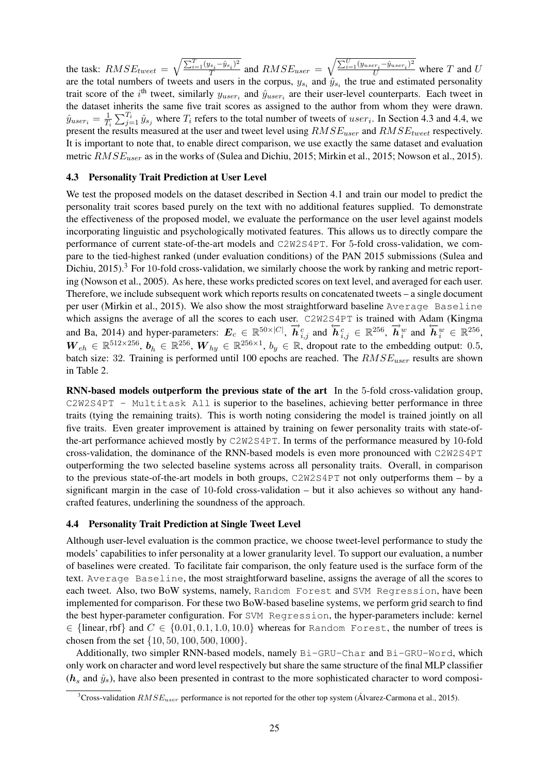the task:  $RMSE_{tweet}$  =  $\sqrt{\sum_{i=1}^{T} (y_{s_i} - \hat{y}_{s_i})^2}$  $\frac{g_{s_i} - g_{s_i}}{T}$  and  $RMSE_{user}$  =  $\sqrt{\frac{\sum_{i=1}^{U}(y_{user_i}-\hat{y}_{user_i})^2}{U}}$  where T and U are the total numbers of tweets and users in the corpus,  $y_{s_i}$  and  $\hat{y}_{s_i}$  the true and estimated personality trait score of the *i*<sup>th</sup> tweet, similarly  $y_{user_i}$  and  $\hat{y}_{user_i}$  are their user-level counterparts. Each tweet in the dataset inherits the same five trait scores as assigned to the author from whom they were drawn.  $\hat{y}_{user_i} = \frac{1}{T_i}$  $\frac{1}{T_i} \sum_{j=1}^{T_i} \hat{y}_{s_j}$  where  $T_i$  refers to the total number of tweets of user<sub>i</sub>. In Section 4.3 and 4.4, we present the results measured at the user and tweet level using  $RMSE_{user}$  and  $RMSE_{tweet}$  respectively. It is important to note that, to enable direct comparison, we use exactly the same dataset and evaluation metric  $RMSE_{user}$  as in the works of (Sulea and Dichiu, 2015; Mirkin et al., 2015; Nowson et al., 2015).

## 4.3 Personality Trait Prediction at User Level

We test the proposed models on the dataset described in Section 4.1 and train our model to predict the personality trait scores based purely on the text with no additional features supplied. To demonstrate the effectiveness of the proposed model, we evaluate the performance on the user level against models incorporating linguistic and psychologically motivated features. This allows us to directly compare the performance of current state-of-the-art models and C2W2S4PT. For 5-fold cross-validation, we compare to the tied-highest ranked (under evaluation conditions) of the PAN 2015 submissions (Sulea and Dichiu, 2015).<sup>3</sup> For 10-fold cross-validation, we similarly choose the work by ranking and metric reporting (Nowson et al., 2005). As here, these works predicted scores on text level, and averaged for each user. Therefore, we include subsequent work which reports results on concatenated tweets – a single document per user (Mirkin et al., 2015). We also show the most straightforward baseline Average Baseline which assigns the average of all the scores to each user. C2W2S4PT is trained with Adam (Kingma and Ba, 2014) and hyper-parameters:  $E_c \in \mathbb{R}^{50 \times |C|}$ ,  $\vec{h}^c_{i,j}$  and  $\vec{h}^c_{i,j} \in \mathbb{R}^{256}$ ,  $\vec{h}^w_i$  and  $\vec{h}^w_i \in \mathbb{R}^{256}$ ,  $W_{eh} \in \mathbb{R}^{512 \times 256}$ ,  $b_h \in \mathbb{R}^{256}$ ,  $W_{hy} \in \mathbb{R}^{256 \times 1}$ ,  $b_y \in \mathbb{R}$ , dropout rate to the embedding output: 0.5, batch size: 32. Training is performed until 100 epochs are reached. The  $RMSE_{user}$  results are shown in Table 2.

RNN-based models outperform the previous state of the art In the 5-fold cross-validation group, C2W2S4PT - Multitask All is superior to the baselines, achieving better performance in three traits (tying the remaining traits). This is worth noting considering the model is trained jointly on all five traits. Even greater improvement is attained by training on fewer personality traits with state-ofthe-art performance achieved mostly by C2W2S4PT. In terms of the performance measured by 10-fold cross-validation, the dominance of the RNN-based models is even more pronounced with C2W2S4PT outperforming the two selected baseline systems across all personality traits. Overall, in comparison to the previous state-of-the-art models in both groups, C2W2S4PT not only outperforms them – by a significant margin in the case of 10-fold cross-validation – but it also achieves so without any handcrafted features, underlining the soundness of the approach.

## 4.4 Personality Trait Prediction at Single Tweet Level

Although user-level evaluation is the common practice, we choose tweet-level performance to study the models' capabilities to infer personality at a lower granularity level. To support our evaluation, a number of baselines were created. To facilitate fair comparison, the only feature used is the surface form of the text. Average Baseline, the most straightforward baseline, assigns the average of all the scores to each tweet. Also, two BoW systems, namely, Random Forest and SVM Regression, have been implemented for comparison. For these two BoW-based baseline systems, we perform grid search to find the best hyper-parameter configuration. For SVM Regression, the hyper-parameters include: kernel  $\in$  {linear, rbf} and  $C \in$  {0.01, 0.1, 1.0, 10.0} whereas for Random Forest, the number of trees is chosen from the set {10, 50, 100, 500, 1000}.

Additionally, two simpler RNN-based models, namely Bi-GRU-Char and Bi-GRU-Word, which only work on character and word level respectively but share the same structure of the final MLP classifier  $(h_s$  and  $\hat{y}_s$ ), have also been presented in contrast to the more sophisticated character to word composi-

<sup>&</sup>lt;sup>3</sup>Cross-validation  $RMSE_{user}$  performance is not reported for the other top system (Alvarez-Carmona et al., 2015).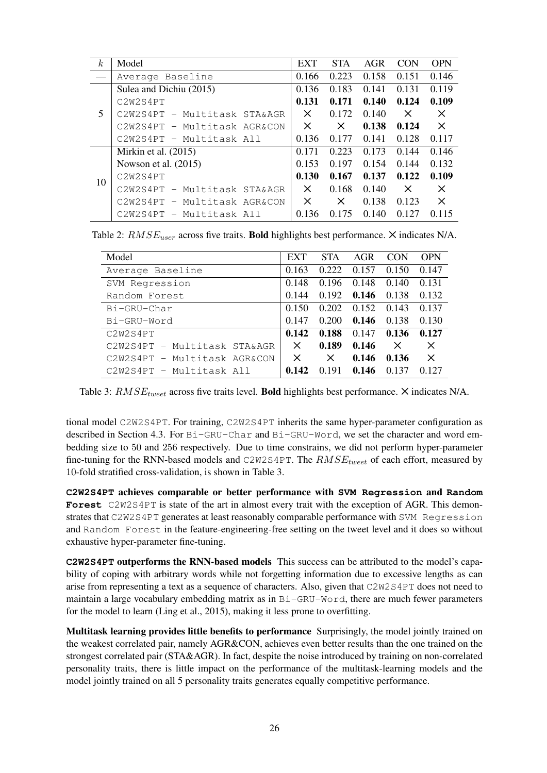| k <sub>i</sub> | Model                        | <b>EXT</b> | <b>STA</b> | <b>AGR</b> | <b>CON</b> | <b>OPN</b> |
|----------------|------------------------------|------------|------------|------------|------------|------------|
|                | Average Baseline             | 0.166      | 0.223      | 0.158      | 0.151      | 0.146      |
|                | Sulea and Dichiu (2015)      | 0.136      | 0.183      | 0.141      | 0.131      | 0.119      |
| 5              | C2W2S4PT                     | 0.131      | 0.171      | 0.140      | 0.124      | 0.109      |
|                | C2W2S4PT - Multitask STA&AGR | X.         | 0.172      | 0.140      | $\times$   | X          |
|                | C2W2S4PT - Multitask AGR&CON | X          | X          | 0.138      | 0.124      | $\times$   |
|                | $C2W2S4PT - Multitask All$   | 0.136      | 0.177      | 0.141      | 0.128      | 0.117      |
| 10             | Mirkin et al. $(2015)$       | 0.171      | 0.223      | 0.173      | 0.144      | 0.146      |
|                | Nowson et al. $(2015)$       | 0.153      | 0.197      | 0.154      | 0.144      | 0.132      |
|                | C2W2S4PT                     | 0.130      | 0.167      | 0.137      | 0.122      | 0.109      |
|                | C2W2S4PT - Multitask STA&AGR | X.         | 0.168      | 0.140      | $\times$   | X          |
|                | C2W2S4PT - Multitask AGR&CON | $\times$   | X          | 0.138      | 0.123      | $\times$   |
|                | C2W2S4PT - Multitask All     | 0.136      | 0.175      | 0.140      | 0.127      | 0.115      |

Table 2:  $RMSE_{user}$  across five traits. Bold highlights best performance.  $\times$  indicates N/A.

| Model                        | <b>EXT</b> | <b>STA</b> | <b>AGR</b> | CON      | <b>OPN</b> |
|------------------------------|------------|------------|------------|----------|------------|
| Average Baseline             | 0.163      | 0.222      | 0.157      | 0.150    | 0.147      |
| SVM Regression               | 0.148      | 0.196      | 0.148      | 0.140    | 0.131      |
| Random Forest                | 0.144      | 0.192      | 0.146      | 0.138    | 0.132      |
| Bi-GRU-Char                  | 0.150      | 0.202      | 0.152      | 0.143    | 0.137      |
| Bi-GRU-Word                  | 0.147      | 0.200      | 0.146      | 0.138    | 0.130      |
| C2W2S4PT                     | 0.142      | 0.188      | 0.147      | 0.136    | 0.127      |
| C2W2S4PT - Multitask STA&AGR | $\times$   | 0.189      | 0.146      | $\times$ | $\times$   |
| C2W2S4PT - Multitask AGR&CON | $\times$   | X          | 0.146      | 0.136    | $\times$   |
| C2W2S4PT - Multitask All     | 0.142      | 0.191      | 0.146      | 0.137    | 0.127      |

Table 3:  $RMSE_{tweet}$  across five traits level. Bold highlights best performance.  $\times$  indicates N/A.

tional model C2W2S4PT. For training, C2W2S4PT inherits the same hyper-parameter configuration as described in Section 4.3. For Bi-GRU-Char and Bi-GRU-Word, we set the character and word embedding size to 50 and 256 respectively. Due to time constrains, we did not perform hyper-parameter fine-tuning for the RNN-based models and C2W2S4PT. The  $RMSE_{tweet}$  of each effort, measured by 10-fold stratified cross-validation, is shown in Table 3.

**C2W2S4PT** achieves comparable or better performance with **SVM Regression** and **Random Forest** C2W2S4PT is state of the art in almost every trait with the exception of AGR. This demonstrates that C2W2S4PT generates at least reasonably comparable performance with SVM Regression and Random Forest in the feature-engineering-free setting on the tweet level and it does so without exhaustive hyper-parameter fine-tuning.

**C2W2S4PT** outperforms the RNN-based models This success can be attributed to the model's capability of coping with arbitrary words while not forgetting information due to excessive lengths as can arise from representing a text as a sequence of characters. Also, given that C2W2S4PT does not need to maintain a large vocabulary embedding matrix as in Bi-GRU-Word, there are much fewer parameters for the model to learn (Ling et al., 2015), making it less prone to overfitting.

Multitask learning provides little benefits to performance Surprisingly, the model jointly trained on the weakest correlated pair, namely AGR&CON, achieves even better results than the one trained on the strongest correlated pair (STA&AGR). In fact, despite the noise introduced by training on non-correlated personality traits, there is little impact on the performance of the multitask-learning models and the model jointly trained on all 5 personality traits generates equally competitive performance.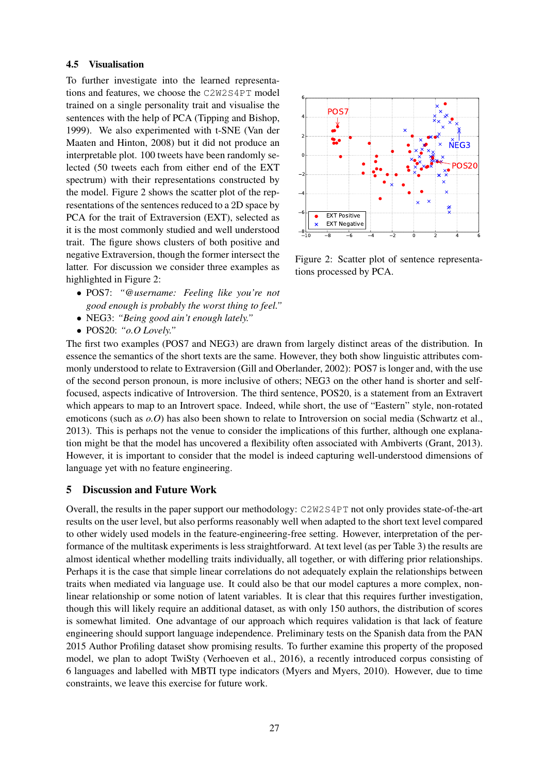#### 4.5 Visualisation

To further investigate into the learned representations and features, we choose the C2W2S4PT model trained on a single personality trait and visualise the sentences with the help of PCA (Tipping and Bishop, 1999). We also experimented with t-SNE (Van der Maaten and Hinton, 2008) but it did not produce an interpretable plot. 100 tweets have been randomly selected (50 tweets each from either end of the EXT spectrum) with their representations constructed by the model. Figure 2 shows the scatter plot of the representations of the sentences reduced to a 2D space by PCA for the trait of Extraversion (EXT), selected as it is the most commonly studied and well understood trait. The figure shows clusters of both positive and negative Extraversion, though the former intersect the latter. For discussion we consider three examples as highlighted in Figure 2:

- POS7: *"@username: Feeling like you're not good enough is probably the worst thing to feel."*
- NEG3: *"Being good ain't enough lately."*
- POS20: *"o.O Lovely."*



Figure 2: Scatter plot of sentence representations processed by PCA.

The first two examples (POS7 and NEG3) are drawn from largely distinct areas of the distribution. In essence the semantics of the short texts are the same. However, they both show linguistic attributes commonly understood to relate to Extraversion (Gill and Oberlander, 2002): POS7 is longer and, with the use of the second person pronoun, is more inclusive of others; NEG3 on the other hand is shorter and selffocused, aspects indicative of Introversion. The third sentence, POS20, is a statement from an Extravert which appears to map to an Introvert space. Indeed, while short, the use of "Eastern" style, non-rotated emoticons (such as  $o.$ *O*) has also been shown to relate to Introversion on social media (Schwartz et al., 2013). This is perhaps not the venue to consider the implications of this further, although one explanation might be that the model has uncovered a flexibility often associated with Ambiverts (Grant, 2013). However, it is important to consider that the model is indeed capturing well-understood dimensions of language yet with no feature engineering.

# 5 Discussion and Future Work

Overall, the results in the paper support our methodology: C2W2S4PT not only provides state-of-the-art results on the user level, but also performs reasonably well when adapted to the short text level compared to other widely used models in the feature-engineering-free setting. However, interpretation of the performance of the multitask experiments is less straightforward. At text level (as per Table 3) the results are almost identical whether modelling traits individually, all together, or with differing prior relationships. Perhaps it is the case that simple linear correlations do not adequately explain the relationships between traits when mediated via language use. It could also be that our model captures a more complex, nonlinear relationship or some notion of latent variables. It is clear that this requires further investigation, though this will likely require an additional dataset, as with only 150 authors, the distribution of scores is somewhat limited. One advantage of our approach which requires validation is that lack of feature engineering should support language independence. Preliminary tests on the Spanish data from the PAN 2015 Author Profiling dataset show promising results. To further examine this property of the proposed model, we plan to adopt TwiSty (Verhoeven et al., 2016), a recently introduced corpus consisting of 6 languages and labelled with MBTI type indicators (Myers and Myers, 2010). However, due to time constraints, we leave this exercise for future work.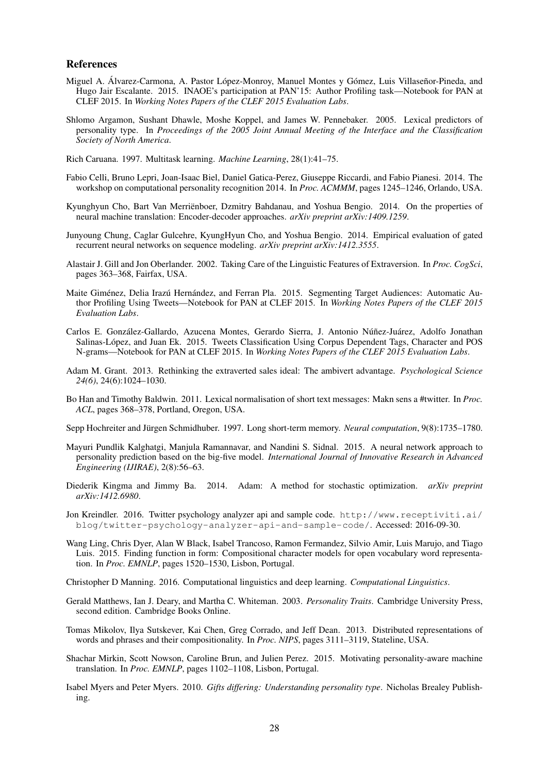#### References

- Miguel A. Álvarez-Carmona, A. Pastor López-Monroy, Manuel Montes y Gómez, Luis Villaseñor-Pineda, and Hugo Jair Escalante. 2015. INAOE's participation at PAN'15: Author Profiling task—Notebook for PAN at CLEF 2015. In *Working Notes Papers of the CLEF 2015 Evaluation Labs*.
- Shlomo Argamon, Sushant Dhawle, Moshe Koppel, and James W. Pennebaker. 2005. Lexical predictors of personality type. In *Proceedings of the 2005 Joint Annual Meeting of the Interface and the Classification Society of North America*.
- Rich Caruana. 1997. Multitask learning. *Machine Learning*, 28(1):41–75.
- Fabio Celli, Bruno Lepri, Joan-Isaac Biel, Daniel Gatica-Perez, Giuseppe Riccardi, and Fabio Pianesi. 2014. The workshop on computational personality recognition 2014. In *Proc. ACMMM*, pages 1245–1246, Orlando, USA.
- Kyunghyun Cho, Bart Van Merrienboer, Dzmitry Bahdanau, and Yoshua Bengio. 2014. On the properties of ¨ neural machine translation: Encoder-decoder approaches. *arXiv preprint arXiv:1409.1259*.
- Junyoung Chung, Caglar Gulcehre, KyungHyun Cho, and Yoshua Bengio. 2014. Empirical evaluation of gated recurrent neural networks on sequence modeling. *arXiv preprint arXiv:1412.3555*.
- Alastair J. Gill and Jon Oberlander. 2002. Taking Care of the Linguistic Features of Extraversion. In *Proc. CogSci*, pages 363–368, Fairfax, USA.
- Maite Giménez, Delia Irazú Hernández, and Ferran Pla. 2015. Segmenting Target Audiences: Automatic Author Profiling Using Tweets—Notebook for PAN at CLEF 2015. In *Working Notes Papers of the CLEF 2015 Evaluation Labs*.
- Carlos E. González-Gallardo, Azucena Montes, Gerardo Sierra, J. Antonio Núñez-Juárez, Adolfo Jonathan Salinas-Lopez, and Juan Ek. 2015. Tweets Classification Using Corpus Dependent Tags, Character and POS ´ N-grams—Notebook for PAN at CLEF 2015. In *Working Notes Papers of the CLEF 2015 Evaluation Labs*.
- Adam M. Grant. 2013. Rethinking the extraverted sales ideal: The ambivert advantage. *Psychological Science 24(6)*, 24(6):1024–1030.
- Bo Han and Timothy Baldwin. 2011. Lexical normalisation of short text messages: Makn sens a #twitter. In *Proc. ACL*, pages 368–378, Portland, Oregon, USA.

Sepp Hochreiter and Jürgen Schmidhuber. 1997. Long short-term memory. *Neural computation*, 9(8):1735–1780.

- Mayuri Pundlik Kalghatgi, Manjula Ramannavar, and Nandini S. Sidnal. 2015. A neural network approach to personality prediction based on the big-five model. *International Journal of Innovative Research in Advanced Engineering (IJIRAE)*, 2(8):56–63.
- Diederik Kingma and Jimmy Ba. 2014. Adam: A method for stochastic optimization. *arXiv preprint arXiv:1412.6980*.
- Jon Kreindler. 2016. Twitter psychology analyzer api and sample code. http://www.receptiviti.ai/ blog/twitter-psychology-analyzer-api-and-sample-code/. Accessed: 2016-09-30.
- Wang Ling, Chris Dyer, Alan W Black, Isabel Trancoso, Ramon Fermandez, Silvio Amir, Luis Marujo, and Tiago Luis. 2015. Finding function in form: Compositional character models for open vocabulary word representation. In *Proc. EMNLP*, pages 1520–1530, Lisbon, Portugal.

Christopher D Manning. 2016. Computational linguistics and deep learning. *Computational Linguistics*.

- Gerald Matthews, Ian J. Deary, and Martha C. Whiteman. 2003. *Personality Traits*. Cambridge University Press, second edition. Cambridge Books Online.
- Tomas Mikolov, Ilya Sutskever, Kai Chen, Greg Corrado, and Jeff Dean. 2013. Distributed representations of words and phrases and their compositionality. In *Proc. NIPS*, pages 3111–3119, Stateline, USA.
- Shachar Mirkin, Scott Nowson, Caroline Brun, and Julien Perez. 2015. Motivating personality-aware machine translation. In *Proc. EMNLP*, pages 1102–1108, Lisbon, Portugal.
- Isabel Myers and Peter Myers. 2010. *Gifts differing: Understanding personality type*. Nicholas Brealey Publishing.